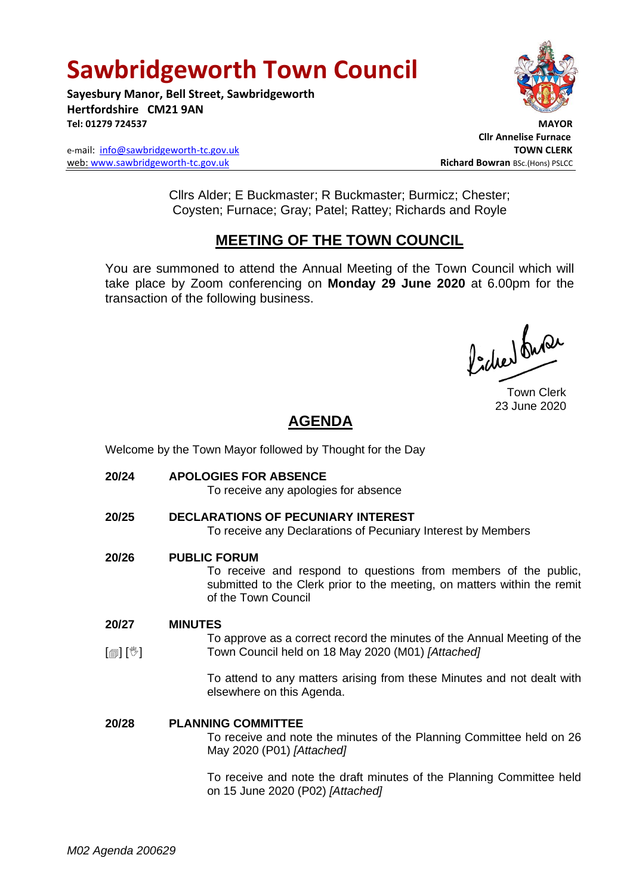# **Sawbridgeworth Town Council**

**Sayesbury Manor, Bell Street, Sawbridgeworth Hertfordshire CM21 9AN Tel: 01279 724537 MAYOR**

e-mail: [info@sawbridgeworth-tc.gov.uk](mailto:info@sawbridgeworth-tc.gov.uk) **TOWN CLERK** web: www.sawbridgeworth-tc.gov.uk **Richard Bowran** BSc.(Hons) PSLCC



 **Cllr Annelise Furnace**

Cllrs Alder; E Buckmaster; R Buckmaster; Burmicz; Chester; Coysten; Furnace; Gray; Patel; Rattey; Richards and Royle

## **MEETING OF THE TOWN COUNCIL**

You are summoned to attend the Annual Meeting of the Town Council which will take place by Zoom conferencing on **Monday 29 June 2020** at 6.00pm for the transaction of the following business.

Poches buse

Town Clerk 23 June 2020

# **AGENDA**

Welcome by the Town Mayor followed by Thought for the Day

- **20/24 APOLOGIES FOR ABSENCE** To receive any apologies for absence
- **20/25 DECLARATIONS OF PECUNIARY INTEREST** To receive any Declarations of Pecuniary Interest by Members
- **20/26 PUBLIC FORUM**

To receive and respond to questions from members of the public, submitted to the Clerk prior to the meeting, on matters within the remit of the Town Council

#### **20/27 MINUTES**

 $\lceil$  [ $\mathbb{I}$ ]  $\lceil \mathbb{V} \rceil$ To approve as a correct record the minutes of the Annual Meeting of the Town Council held on 18 May 2020 (M01) *[Attached]*

> To attend to any matters arising from these Minutes and not dealt with elsewhere on this Agenda.

### **20/28 PLANNING COMMITTEE**

To receive and note the minutes of the Planning Committee held on 26 May 2020 (P01) *[Attached]*

To receive and note the draft minutes of the Planning Committee held on 15 June 2020 (P02) *[Attached]*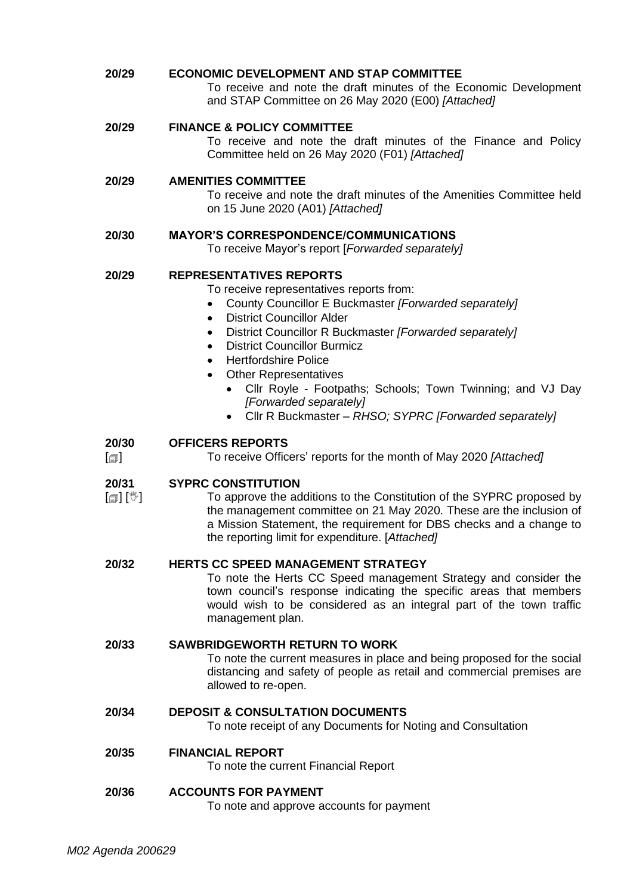**20/29 ECONOMIC DEVELOPMENT AND STAP COMMITTEE** To receive and note the draft minutes of the Economic Development and STAP Committee on 26 May 2020 (E00) *[Attached]*

### **20/29 FINANCE & POLICY COMMITTEE**

To receive and note the draft minutes of the Finance and Policy Committee held on 26 May 2020 (F01) *[Attached]*

### **20/29 AMENITIES COMMITTEE**

To receive and note the draft minutes of the Amenities Committee held on 15 June 2020 (A01) *[Attached]*

### **20/30 MAYOR'S CORRESPONDENCE/COMMUNICATIONS**

To receive Mayor's report [*Forwarded separately]*

### **20/29 REPRESENTATIVES REPORTS**

To receive representatives reports from:

- County Councillor E Buckmaster *[Forwarded separately]*
- District Councillor Alder
- District Councillor R Buckmaster *[Forwarded separately]*
- District Councillor Burmicz
- Hertfordshire Police
- Other Representatives
	- Cllr Royle Footpaths; Schools; Town Twinning; and VJ Day *[Forwarded separately]*
	- Cllr R Buckmaster *– RHSO; SYPRC [Forwarded separately]*

#### **20/30 OFFICERS REPORTS**

 $[\blacksquare]$ To receive Officers' reports for the month of May 2020 *[Attached]*

#### **20/31 SYPRC CONSTITUTION**

[ 1] [ 1] To approve the additions to the Constitution of the SYPRC proposed by the management committee on 21 May 2020. These are the inclusion of a Mission Statement, the requirement for DBS checks and a change to the reporting limit for expenditure. [*Attached]*

### **20/32 HERTS CC SPEED MANAGEMENT STRATEGY**

To note the Herts CC Speed management Strategy and consider the town council's response indicating the specific areas that members would wish to be considered as an integral part of the town traffic management plan.

### **20/33 SAWBRIDGEWORTH RETURN TO WORK**

To note the current measures in place and being proposed for the social distancing and safety of people as retail and commercial premises are allowed to re-open.

### **20/34 DEPOSIT & CONSULTATION DOCUMENTS**

To note receipt of any Documents for Noting and Consultation

### **20/35 FINANCIAL REPORT**

To note the current Financial Report

### **20/36 ACCOUNTS FOR PAYMENT**

To note and approve accounts for payment